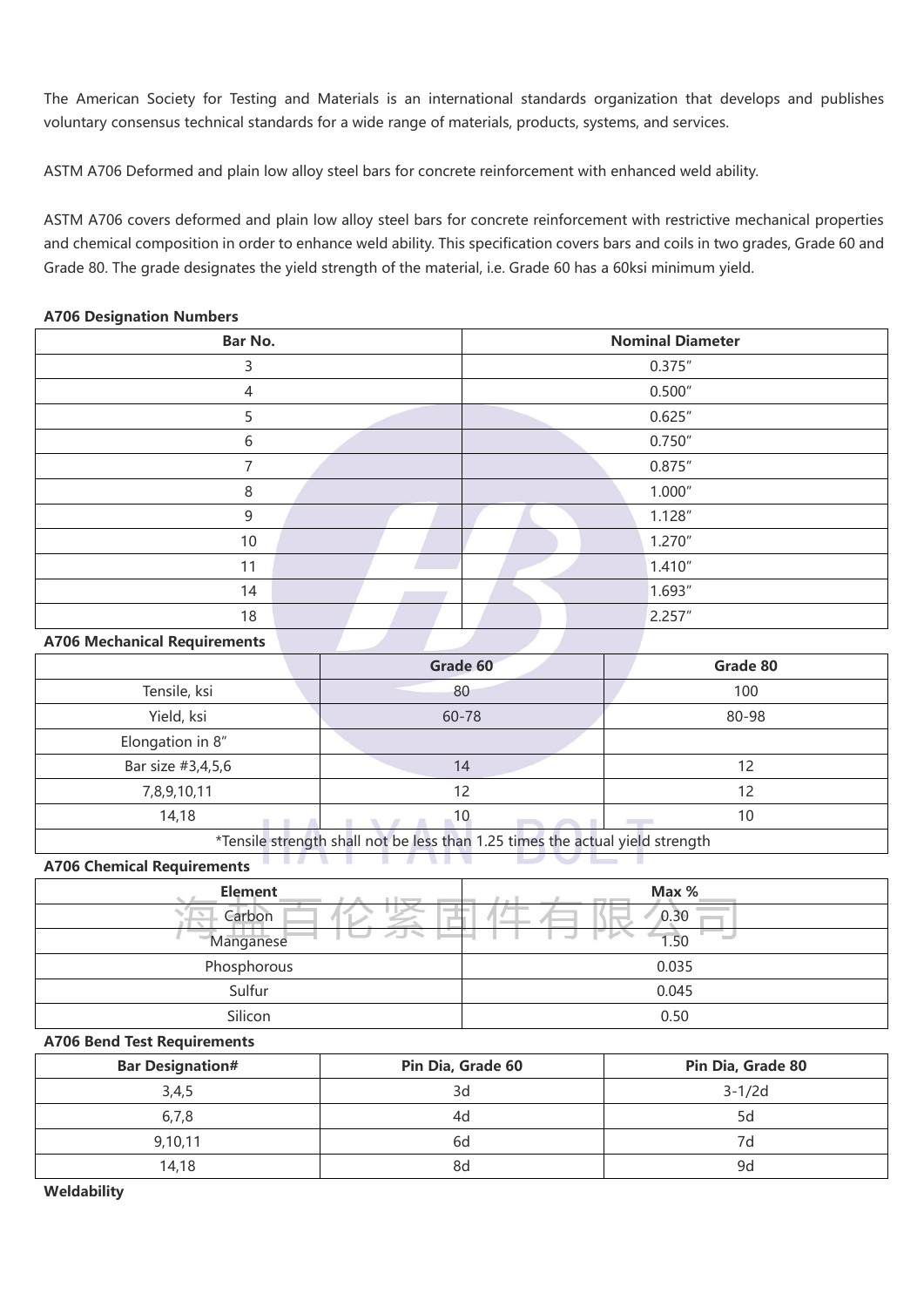The American Society for Testing and Materials is an international standards organization that develops and publishes voluntary consensus technical standards for a wide range of materials, products, systems, and services.

ASTM A706 Deformed and plain low alloy steel bars for concrete reinforcement with enhanced weld ability.

ASTM A706 covers deformed and plain low alloy steel bars for concrete reinforcement with restrictive mechanical properties and chemical composition in order to enhance weld ability. This specification covers bars and coils in two grades, Grade 60 and Grade 80. The grade designates the yield strength of the material, i.e. Grade 60 has a 60ksi minimum yield.

| Bar No.                  | <b>Nominal Diameter</b> |
|--------------------------|-------------------------|
| 3                        | 0.375''                 |
| 4                        | 0.500''                 |
| 5                        | 0.625''                 |
| 6                        | 0.750''                 |
| $\overline{\phantom{a}}$ | 0.875''                 |
| 8                        | 1.000''                 |
| 9                        | 1.128''                 |
| 10                       | 1.270''                 |
| 11                       | 1.410''                 |
| 14                       | 1.693"                  |
| 18                       | 2.257''                 |

## **A706 Designation Numbers**

## **A706 Mechanical Requirements**

|                   | Grade 60 | Grade 80 |
|-------------------|----------|----------|
| Tensile, ksi      | 80       | 100      |
| Yield, ksi        | 60-78    | 80-98    |
| Elongation in 8"  |          |          |
| Bar size #3,4,5,6 | 14       | 12       |
| 7,8,9,10,11       | 12       | 12       |
| 14,18             | 10       | 10       |

\*Tensile strength shall not be lessthan 1.25 times the actual yield strength

**A706 Chemical Requirements**

| <b>Element</b>     | Max % |
|--------------------|-------|
| Carbon             | 0.30  |
| -diri<br>Manganese | 1.50  |
| Phosphorous        | 0.035 |
| Sulfur             | 0.045 |
| Silicon            | 0.50  |

## **A706 Bend Test Requirements**

| <b>Bar Designation#</b> | Pin Dia, Grade 60 | Pin Dia, Grade 80 |
|-------------------------|-------------------|-------------------|
| 3,4,5                   | 3d                | $3 - 1/2d$        |
| 6.7.8                   | 40                |                   |
| 9,10,11                 | ьd                |                   |
| 14.18                   | 8d                |                   |

**Weldability**